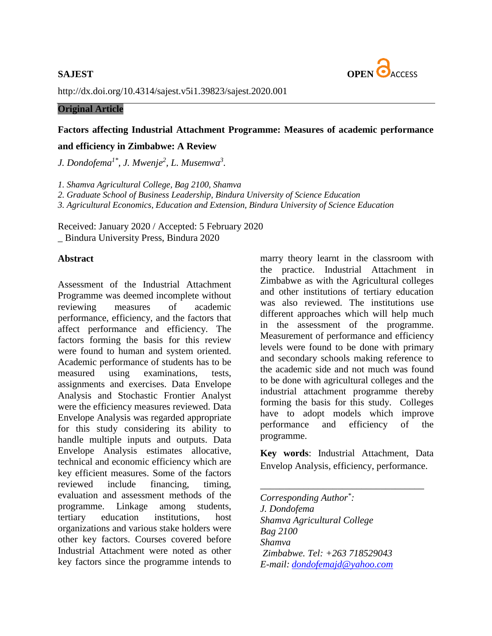

[http://dx.doi.org/10.4314/sajest.v5i1.39823/](http://dx.doi.org/10.4314/sajest.v5i1.39823)sajest.2020.001

### **Original Article**

# **Factors affecting Industrial Attachment Programme: Measures of academic performance**

### **and efficiency in Zimbabwe: A Review**

*J. Dondofema1\*, J. Mwenje<sup>2</sup> , L. Musemwa<sup>3</sup> .*

*1. Shamva Agricultural College, Bag 2100, Shamva*

*2. Graduate School of Business Leadership, Bindura University of Science Education*

*3. Agricultural Economics, Education and Extension, Bindura University of Science Education*

Received: January 2020 / Accepted: 5 February 2020 \_ Bindura University Press, Bindura 2020

# **Abstract**

Assessment of the Industrial Attachment Programme was deemed incomplete without reviewing measures of academic performance, efficiency, and the factors that affect performance and efficiency. The factors forming the basis for this review were found to human and system oriented. Academic performance of students has to be measured using examinations, tests, assignments and exercises. Data Envelope Analysis and Stochastic Frontier Analyst were the efficiency measures reviewed. Data Envelope Analysis was regarded appropriate for this study considering its ability to handle multiple inputs and outputs. Data Envelope Analysis estimates allocative, technical and economic efficiency which are key efficient measures. Some of the factors reviewed include financing, timing, evaluation and assessment methods of the programme. Linkage among students, tertiary education institutions, host organizations and various stake holders were other key factors. Courses covered before Industrial Attachment were noted as other key factors since the programme intends to

marry theory learnt in the classroom with the practice. Industrial Attachment in Zimbabwe as with the Agricultural colleges and other institutions of tertiary education was also reviewed. The institutions use different approaches which will help much in the assessment of the programme. Measurement of performance and efficiency levels were found to be done with primary and secondary schools making reference to the academic side and not much was found to be done with agricultural colleges and the industrial attachment programme thereby forming the basis for this study. Colleges have to adopt models which improve performance and efficiency of the programme.

**Key words**: Industrial Attachment, Data Envelop Analysis, efficiency, performance.

\_\_\_\_\_\_\_\_\_\_\_\_\_\_\_\_\_\_\_\_\_\_\_\_\_\_\_\_\_\_\_\_\_\_

*Corresponding Author\* : J. Dondofema Shamva Agricultural College Bag 2100 Shamva Zimbabwe. Tel: +263 718529043 E-mail: [dondofemajd@yahoo.com](mailto:dondofemajd@yahoo.com)*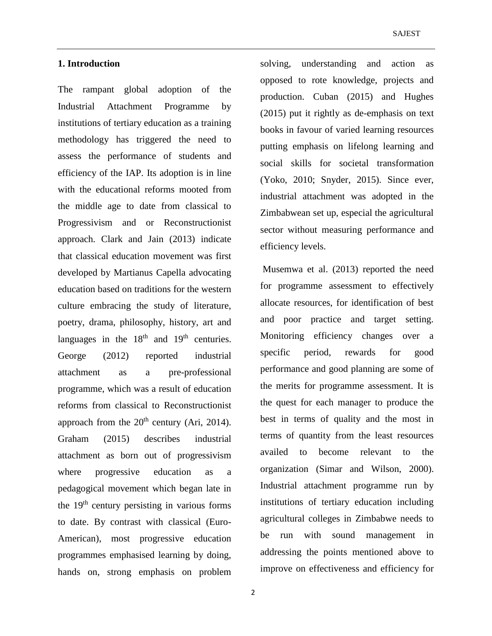### **1. Introduction**

The rampant global adoption of the Industrial Attachment Programme by institutions of tertiary education as a training methodology has triggered the need to assess the performance of students and efficiency of the IAP. Its adoption is in line with the educational reforms mooted from the middle age to date from classical to Progressivism and or Reconstructionist approach. Clark and Jain (2013) indicate that classical education movement was first developed by Martianus Capella advocating education based on traditions for the western culture embracing the study of literature, poetry, drama, philosophy, history, art and languages in the  $18<sup>th</sup>$  and  $19<sup>th</sup>$  centuries. George (2012) reported industrial attachment as a pre-professional programme, which was a result of education reforms from classical to Reconstructionist approach from the  $20<sup>th</sup>$  century (Ari, 2014). Graham (2015) describes industrial attachment as born out of progressivism where progressive education as a pedagogical movement which began late in the  $19<sup>th</sup>$  century persisting in various forms to date. By contrast with classical (Euro-American), most progressive education programmes emphasised learning by doing, hands on, strong emphasis on problem

solving, understanding and action as opposed to rote knowledge, projects and production. Cuban (2015) and Hughes (2015) put it rightly as de-emphasis on text books in favour of varied learning resources putting emphasis on lifelong learning and social skills for societal transformation (Yoko, 2010; Snyder, 2015). Since ever, industrial attachment was adopted in the Zimbabwean set up, especial the agricultural sector without measuring performance and efficiency levels.

Musemwa et al. (2013) reported the need for programme assessment to effectively allocate resources, for identification of best and poor practice and target setting. Monitoring efficiency changes over a specific period, rewards for good performance and good planning are some of the merits for programme assessment. It is the quest for each manager to produce the best in terms of quality and the most in terms of quantity from the least resources availed to become relevant to the organization (Simar and Wilson, 2000). Industrial attachment programme run by institutions of tertiary education including agricultural colleges in Zimbabwe needs to be run with sound management in addressing the points mentioned above to improve on effectiveness and efficiency for

2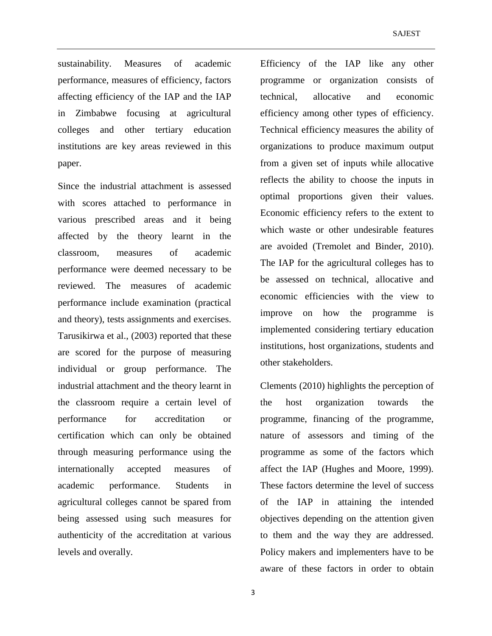sustainability. Measures of academic performance, measures of efficiency, factors affecting efficiency of the IAP and the IAP in Zimbabwe focusing at agricultural colleges and other tertiary education institutions are key areas reviewed in this paper.

Since the industrial attachment is assessed with scores attached to performance in various prescribed areas and it being affected by the theory learnt in the classroom, measures of academic performance were deemed necessary to be reviewed. The measures of academic performance include examination (practical and theory), tests assignments and exercises. Tarusikirwa et al., (2003) reported that these are scored for the purpose of measuring individual or group performance. The industrial attachment and the theory learnt in the classroom require a certain level of performance for accreditation or certification which can only be obtained through measuring performance using the internationally accepted measures of academic performance. Students in agricultural colleges cannot be spared from being assessed using such measures for authenticity of the accreditation at various levels and overally.

Efficiency of the IAP like any other programme or organization consists of technical, allocative and economic efficiency among other types of efficiency. Technical efficiency measures the ability of organizations to produce maximum output from a given set of inputs while allocative reflects the ability to choose the inputs in optimal proportions given their values. Economic efficiency refers to the extent to which waste or other undesirable features are avoided (Tremolet and Binder, 2010). The IAP for the agricultural colleges has to be assessed on technical, allocative and economic efficiencies with the view to improve on how the programme is implemented considering tertiary education institutions, host organizations, students and other stakeholders.

Clements (2010) highlights the perception of the host organization towards the programme, financing of the programme, nature of assessors and timing of the programme as some of the factors which affect the IAP (Hughes and Moore, 1999). These factors determine the level of success of the IAP in attaining the intended objectives depending on the attention given to them and the way they are addressed. Policy makers and implementers have to be aware of these factors in order to obtain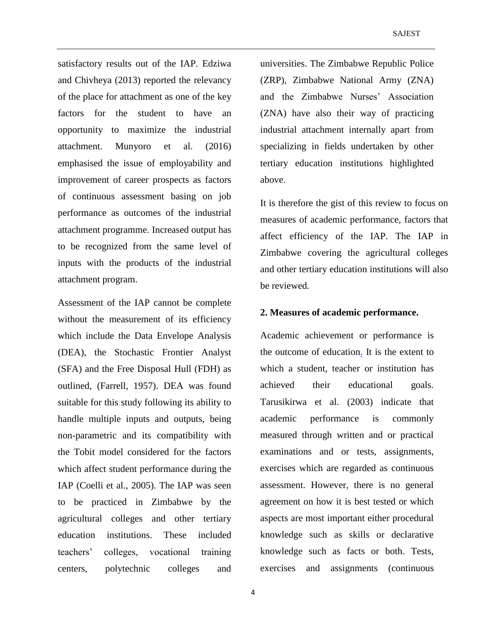satisfactory results out of the IAP. Edziwa and Chivheya (2013) reported the relevancy of the place for attachment as one of the key factors for the student to have an opportunity to maximize the industrial attachment. Munyoro et al. (2016) emphasised the issue of employability and improvement of career prospects as factors of continuous assessment basing on job performance as outcomes of the industrial attachment programme. Increased output has to be recognized from the same level of inputs with the products of the industrial attachment program.

Assessment of the IAP cannot be complete without the measurement of its efficiency which include the Data Envelope Analysis (DEA), the Stochastic Frontier Analyst (SFA) and the Free Disposal Hull (FDH) as outlined, (Farrell, 1957). DEA was found suitable for this study following its ability to handle multiple inputs and outputs, being non-parametric and its compatibility with the Tobit model considered for the factors which affect student performance during the IAP (Coelli et al., 2005). The IAP was seen to be practiced in Zimbabwe by the agricultural colleges and other tertiary education institutions. These included teachers' colleges, vocational training centers, polytechnic colleges and

universities. The Zimbabwe Republic Police (ZRP), Zimbabwe National Army (ZNA) and the Zimbabwe Nurses' Association (ZNA) have also their way of practicing industrial attachment internally apart from specializing in fields undertaken by other tertiary education institutions highlighted above.

It is therefore the gist of this review to focus on measures of academic performance, factors that affect efficiency of the IAP. The IAP in Zimbabwe covering the agricultural colleges and other tertiary education institutions will also be reviewed.

#### **2. Measures of academic performance.**

Academic achievement or performance is the outcome of education. It is the extent to which a student, teacher or institution has achieved their educational goals. Tarusikirwa et al. (2003) indicate that academic performance is commonly measured through written and or practical examinations and or tests, assignments, exercises which are regarded as continuous assessment. However, there is no general agreement on how it is best tested or which aspects are most important either procedural knowledge such as skills or declarative knowledge such as facts or both. Tests, exercises and assignments (continuous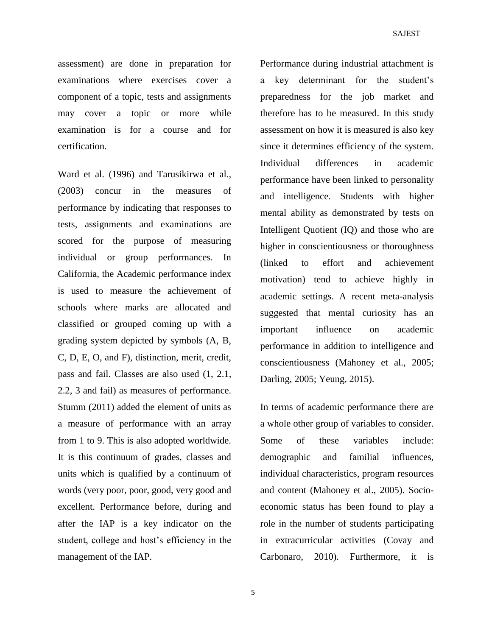assessment) are done in preparation for examinations where exercises cover a component of a topic, tests and assignments may cover a topic or more while examination is for a course and for certification.

Ward et al. (1996) and Tarusikirwa et al., (2003) concur in the measures of performance by indicating that responses to tests, assignments and examinations are scored for the purpose of measuring individual or group performances. In California, the Academic performance index is used to measure the achievement of schools where marks are allocated and classified or grouped coming up with a grading system depicted by symbols (A, B, C, D, E, O, and F), distinction, merit, credit, pass and fail. Classes are also used (1, 2.1, 2.2, 3 and fail) as measures of performance. Stumm (2011) added the element of units as a measure of performance with an array from 1 to 9. This is also adopted worldwide. It is this continuum of grades, classes and units which is qualified by a continuum of words (very poor, poor, good, very good and excellent. Performance before, during and after the IAP is a key indicator on the student, college and host's efficiency in the management of the IAP.

Performance during industrial attachment is a key determinant for the student's preparedness for the job market and therefore has to be measured. In this study assessment on how it is measured is also key since it determines efficiency of the system. Individual differences in academic performance have been linked to personality and intelligence. Students with higher mental ability as demonstrated by tests on Intelligent Quotient (IQ) and those who are higher in conscientiousness or thoroughness (linked to effort and achievement motivation) tend to achieve highly in academic settings. A recent meta-analysis suggested that mental curiosity has an important influence on academic performance in addition to intelligence and conscientiousness (Mahoney et al., 2005; Darling, 2005; Yeung, 2015).

In terms of academic performance there are a whole other group of variables to consider. Some of these variables include: demographic and familial influences, individual characteristics, program resources and content (Mahoney et al., 2005). Socioeconomic status has been found to play a role in the number of students participating in extracurricular activities (Covay and Carbonaro, 2010). Furthermore, it is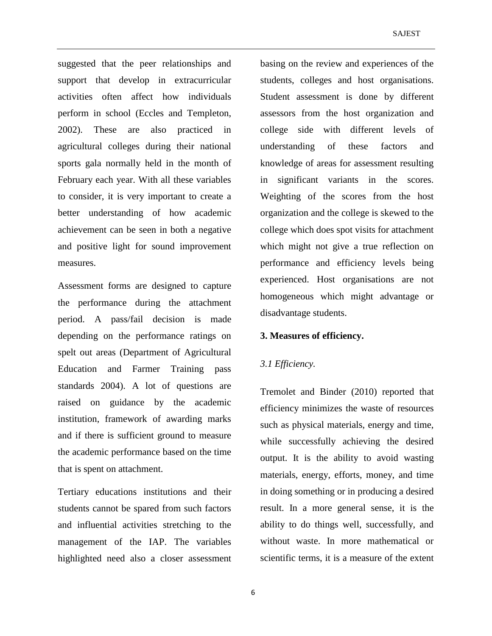suggested that the peer relationships and support that develop in extracurricular activities often affect how individuals perform in school (Eccles and Templeton, 2002). These are also practiced in agricultural colleges during their national sports gala normally held in the month of February each year. With all these variables to consider, it is very important to create a better understanding of how academic achievement can be seen in both a negative and positive light for sound improvement measures.

Assessment forms are designed to capture the performance during the attachment period. A pass/fail decision is made depending on the performance ratings on spelt out areas (Department of Agricultural Education and Farmer Training pass standards 2004). A lot of questions are raised on guidance by the academic institution, framework of awarding marks and if there is sufficient ground to measure the academic performance based on the time that is spent on attachment.

Tertiary educations institutions and their students cannot be spared from such factors and influential activities stretching to the management of the IAP. The variables highlighted need also a closer assessment basing on the review and experiences of the students, colleges and host organisations. Student assessment is done by different assessors from the host organization and college side with different levels of understanding of these factors and knowledge of areas for assessment resulting in significant variants in the scores. Weighting of the scores from the host organization and the college is skewed to the college which does spot visits for attachment which might not give a true reflection on performance and efficiency levels being experienced. Host organisations are not homogeneous which might advantage or disadvantage students.

### **3. Measures of efficiency.**

### *3.1 Efficiency.*

Tremolet and Binder (2010) reported that efficiency minimizes the waste of resources such as physical materials, energy and time, while successfully achieving the desired output. It is the ability to avoid wasting materials, energy, efforts, money, and time in doing something or in producing a desired result. In a more general sense, it is the ability to do things well, successfully, and without waste. In more mathematical or scientific terms, it is a measure of the extent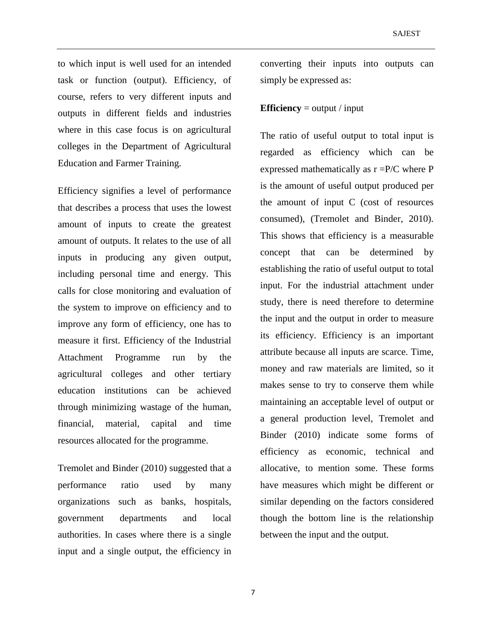to which input is well used for an intended task or function (output). Efficiency, of course, refers to very different inputs and outputs in different fields and industries where in this case focus is on agricultural colleges in the Department of Agricultural Education and Farmer Training.

Efficiency signifies a level of performance that describes a process that uses the lowest amount of inputs to create the greatest amount of outputs. It relates to the use of all inputs in producing any given output, including personal time and energy. This calls for close monitoring and evaluation of the system to improve on efficiency and to improve any form of efficiency, one has to measure it first. Efficiency of the Industrial Attachment Programme run by the agricultural colleges and other tertiary education institutions can be achieved through minimizing wastage of the human, financial, material, capital and time resources allocated for the programme.

Tremolet and Binder (2010) suggested that a performance ratio used by many organizations such as banks, hospitals, government departments and local authorities. In cases where there is a single input and a single output, the efficiency in converting their inputs into outputs can simply be expressed as:

### **Efficiency** = output / input

The ratio of useful output to total input is regarded as efficiency which can be expressed mathematically as r =P/C where P is the amount of useful output produced per the amount of input C (cost of resources consumed), (Tremolet and Binder, 2010). This shows that efficiency is a measurable concept that can be determined by establishing the ratio of useful output to total input. For the industrial attachment under study, there is need therefore to determine the input and the output in order to measure its efficiency. Efficiency is an important attribute because all inputs are scarce. Time, money and raw materials are limited, so it makes sense to try to conserve them while maintaining an acceptable level of output or a general production level, Tremolet and Binder (2010) indicate some forms of efficiency as economic, technical and allocative, to mention some. These forms have measures which might be different or similar depending on the factors considered though the bottom line is the relationship between the input and the output.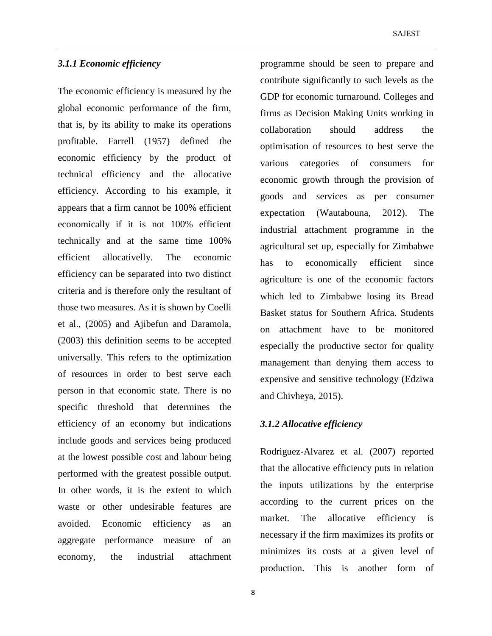# *3.1.1 Economic efficiency*

The economic efficiency is measured by the global economic performance of the firm, that is, by its ability to make its operations profitable. Farrell (1957) defined the economic efficiency by the product of technical efficiency and the allocative efficiency. According to his example, it appears that a firm cannot be 100% efficient economically if it is not 100% efficient technically and at the same time 100% efficient allocativelly. The economic efficiency can be separated into two distinct criteria and is therefore only the resultant of those two measures. As it is shown by Coelli et al., (2005) and Ajibefun and Daramola, (2003) this definition seems to be accepted universally. This refers to the optimization of resources in order to best serve each person in that economic state. There is no specific threshold that determines the efficiency of an economy but indications include goods and services being produced at the lowest possible cost and labour being performed with the greatest possible output. In other words, it is the extent to which waste or other undesirable features are avoided. Economic efficiency as an aggregate performance measure of an economy, the industrial attachment

programme should be seen to prepare and contribute significantly to such levels as the GDP for economic turnaround. Colleges and firms as Decision Making Units working in collaboration should address the optimisation of resources to best serve the various categories of consumers for economic growth through the provision of goods and services as per consumer expectation (Wautabouna, 2012). The industrial attachment programme in the agricultural set up, especially for Zimbabwe has to economically efficient since agriculture is one of the economic factors which led to Zimbabwe losing its Bread Basket status for Southern Africa. Students on attachment have to be monitored especially the productive sector for quality management than denying them access to expensive and sensitive technology (Edziwa and Chivheya, 2015).

### *3.1.2 Allocative efficiency*

Rodriguez-Alvarez et al. (2007) reported that the allocative efficiency puts in relation the inputs utilizations by the enterprise according to the current prices on the market. The allocative efficiency is necessary if the firm maximizes its profits or minimizes its costs at a given level of production. This is another form of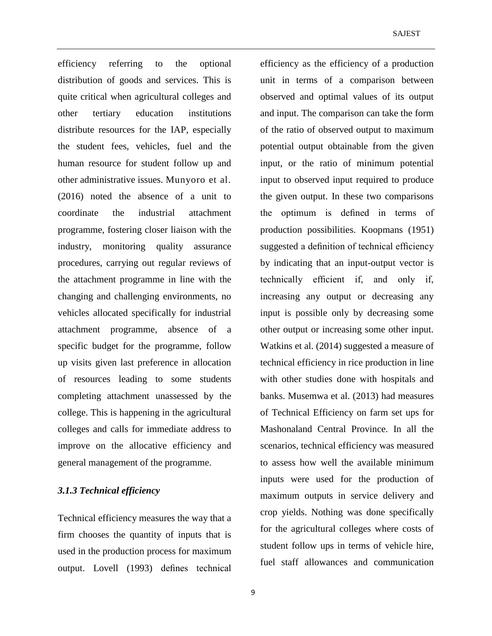efficiency referring to the optional distribution of goods and services. This is quite critical when agricultural colleges and other tertiary education institutions distribute resources for the IAP, especially the student fees, vehicles, fuel and the human resource for student follow up and other administrative issues. Munyoro et al. (2016) noted the absence of a unit to coordinate the industrial attachment programme, fostering closer liaison with the industry, monitoring quality assurance procedures, carrying out regular reviews of the attachment programme in line with the changing and challenging environments, no vehicles allocated specifically for industrial attachment programme, absence of a specific budget for the programme, follow up visits given last preference in allocation of resources leading to some students completing attachment unassessed by the college. This is happening in the agricultural colleges and calls for immediate address to improve on the allocative efficiency and general management of the programme.

### *3.1.3 Technical efficiency*

Technical efficiency measures the way that a firm chooses the quantity of inputs that is used in the production process for maximum output. Lovell (1993) defines technical

efficiency as the efficiency of a production unit in terms of a comparison between observed and optimal values of its output and input. The comparison can take the form of the ratio of observed output to maximum potential output obtainable from the given input, or the ratio of minimum potential input to observed input required to produce the given output. In these two comparisons the optimum is defined in terms of production possibilities. Koopmans (1951) suggested a definition of technical efficiency by indicating that an input-output vector is technically efficient if, and only if, increasing any output or decreasing any input is possible only by decreasing some other output or increasing some other input. Watkins et al. (2014) suggested a measure of technical efficiency in rice production in line with other studies done with hospitals and banks. Musemwa et al. (2013) had measures of Technical Efficiency on farm set ups for Mashonaland Central Province. In all the scenarios, technical efficiency was measured to assess how well the available minimum inputs were used for the production of maximum outputs in service delivery and crop yields. Nothing was done specifically for the agricultural colleges where costs of student follow ups in terms of vehicle hire, fuel staff allowances and communication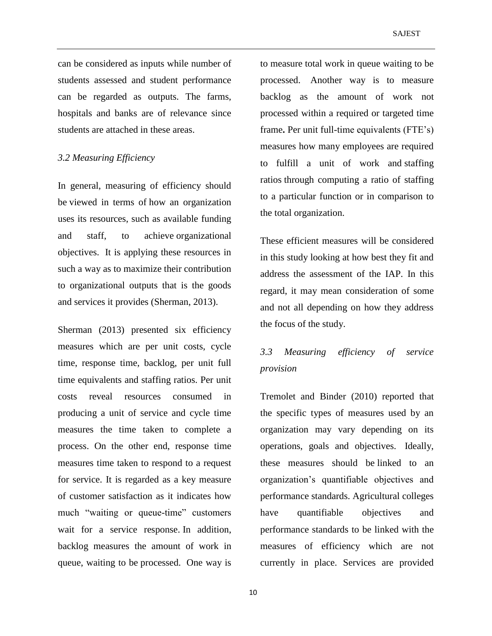can be considered as inputs while number of students assessed and student performance can be regarded as outputs. The farms, hospitals and banks are of relevance since students are attached in these areas.

### *3.2 Measuring Efficiency*

In general, measuring of efficiency should be viewed in terms of how an organization uses its resources, such as available funding and staff, to achieve organizational objectives. It is applying these resources in such a way as to maximize their contribution to organizational outputs that is the goods and services it provides (Sherman, 2013).

Sherman (2013) presented six efficiency measures which are per unit costs, cycle time, response time, backlog, per unit full time equivalents and staffing ratios. Per unit costs reveal resources consumed in producing a unit of service and cycle time measures the time taken to complete a process. On the other end, response time measures time taken to respond to a request for service. It is regarded as a key measure of customer satisfaction as it indicates how much "waiting or queue-time" customers wait for a service response. In addition, backlog measures the amount of work in queue, waiting to be processed. One way is

to measure total work in queue waiting to be processed. Another way is to measure backlog as the amount of work not processed within a required or targeted time frame**.** Per unit full-time equivalents (FTE's) measures how many employees are required to fulfill a unit of work and staffing ratios through computing a ratio of staffing to a particular function or in comparison to the total organization.

These efficient measures will be considered in this study looking at how best they fit and address the assessment of the IAP. In this regard, it may mean consideration of some and not all depending on how they address the focus of the study.

# *3.3 Measuring efficiency of service provision*

Tremolet and Binder (2010) reported that the specific types of measures used by an organization may vary depending on its operations, goals and objectives. Ideally, these measures should be linked to an organization's quantifiable objectives and performance standards. Agricultural colleges have quantifiable objectives and performance standards to be linked with the measures of efficiency which are not currently in place. Services are provided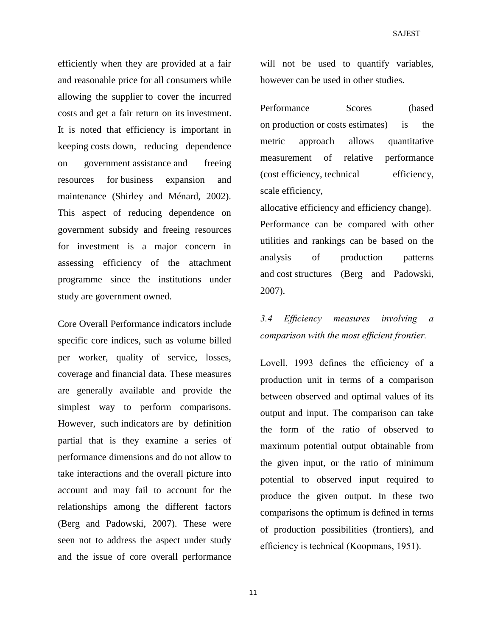efficiently when they are provided at a fair and reasonable price for all consumers while allowing the supplier to cover the incurred costs and get a fair return on its investment. It is noted that efficiency is important in keeping costs down, reducing dependence on government assistance and freeing resources for business expansion and maintenance (Shirley and Ménard, 2002). This aspect of reducing dependence on government subsidy and freeing resources for investment is a major concern in assessing efficiency of the attachment programme since the institutions under study are government owned.

Core Overall Performance indicators include specific core indices, such as volume billed per worker, quality of service, losses, coverage and financial data. These measures are generally available and provide the simplest way to perform comparisons. However, such indicators are by definition partial that is they examine a series of performance dimensions and do not allow to take interactions and the overall picture into account and may fail to account for the relationships among the different factors (Berg and Padowski, 2007). These were seen not to address the aspect under study and the issue of core overall performance

will not be used to quantify variables, however can be used in other studies.

Performance Scores (based) on production or costs estimates) is the metric approach allows quantitative measurement of relative performance (cost efficiency, technical efficiency, scale efficiency,

allocative efficiency and efficiency change). Performance can be compared with other utilities and rankings can be based on the analysis of production patterns and cost structures (Berg and Padowski, 2007).

*3.4 Efficiency measures involving a comparison with the most efficient frontier.* 

Lovell, 1993 defines the efficiency of a production unit in terms of a comparison between observed and optimal values of its output and input. The comparison can take the form of the ratio of observed to maximum potential output obtainable from the given input, or the ratio of minimum potential to observed input required to produce the given output. In these two comparisons the optimum is defined in terms of production possibilities (frontiers), and efficiency is technical (Koopmans, 1951).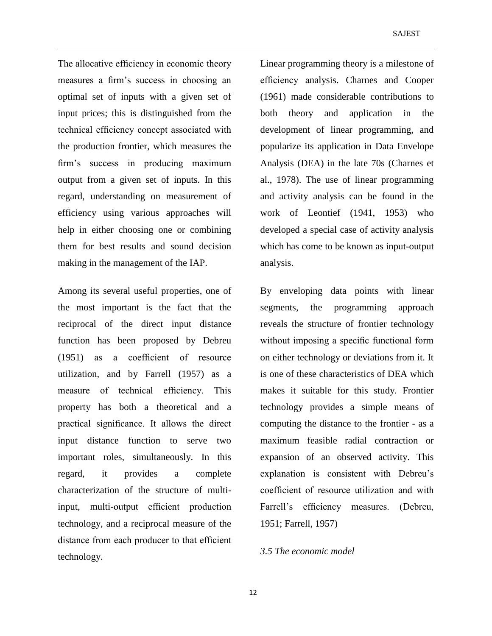The allocative efficiency in economic theory measures a firm's success in choosing an optimal set of inputs with a given set of input prices; this is distinguished from the technical efficiency concept associated with the production frontier, which measures the firm's success in producing maximum output from a given set of inputs. In this regard, understanding on measurement of efficiency using various approaches will help in either choosing one or combining them for best results and sound decision making in the management of the IAP.

Among its several useful properties, one of the most important is the fact that the reciprocal of the direct input distance function has been proposed by Debreu (1951) as a coefficient of resource utilization, and by Farrell (1957) as a measure of technical efficiency. This property has both a theoretical and a practical significance. It allows the direct input distance function to serve two important roles, simultaneously. In this regard, it provides a complete characterization of the structure of multiinput, multi-output efficient production technology, and a reciprocal measure of the distance from each producer to that efficient technology.

Linear programming theory is a milestone of efficiency analysis. Charnes and Cooper (1961) made considerable contributions to both theory and application in the development of linear programming, and popularize its application in Data Envelope Analysis (DEA) in the late 70s (Charnes et al., 1978). The use of linear programming and activity analysis can be found in the work of Leontief (1941, 1953) who developed a special case of activity analysis which has come to be known as input-output analysis.

By enveloping data points with linear segments, the programming approach reveals the structure of frontier technology without imposing a specific functional form on either technology or deviations from it. It is one of these characteristics of DEA which makes it suitable for this study. Frontier technology provides a simple means of computing the distance to the frontier - as a maximum feasible radial contraction or expansion of an observed activity. This explanation is consistent with Debreu's coefficient of resource utilization and with Farrell's efficiency measures. (Debreu, 1951; Farrell, 1957)

### *3.5 The economic model*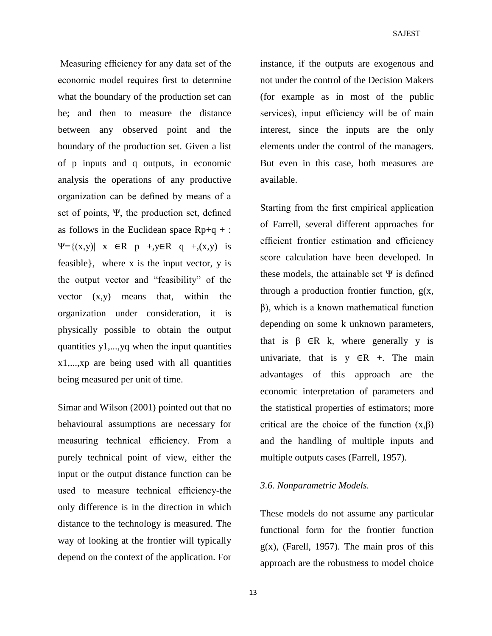Measuring efficiency for any data set of the economic model requires first to determine what the boundary of the production set can be; and then to measure the distance between any observed point and the boundary of the production set. Given a list of p inputs and q outputs, in economic analysis the operations of any productive organization can be defined by means of a set of points, Ψ, the production set, defined as follows in the Euclidean space  $Rp+q +$ :  $\Psi = \{(x,y) | x \in \mathbb{R} \mid p \rightarrow y \in \mathbb{R} \mid q \rightarrow (x,y) \text{ is }$ feasible}, where x is the input vector, y is the output vector and "feasibility" of the vector (x,y) means that, within the organization under consideration, it is physically possible to obtain the output quantities y1,...,yq when the input quantities x1,...,xp are being used with all quantities being measured per unit of time.

Simar and Wilson (2001) pointed out that no behavioural assumptions are necessary for measuring technical efficiency. From a purely technical point of view, either the input or the output distance function can be used to measure technical efficiency-the only difference is in the direction in which distance to the technology is measured. The way of looking at the frontier will typically depend on the context of the application. For instance, if the outputs are exogenous and not under the control of the Decision Makers (for example as in most of the public services), input efficiency will be of main interest, since the inputs are the only elements under the control of the managers. But even in this case, both measures are available.

Starting from the first empirical application of Farrell, several different approaches for efficient frontier estimation and efficiency score calculation have been developed. In these models, the attainable set  $\Psi$  is defined through a production frontier function,  $g(x)$ , β), which is a known mathematical function depending on some k unknown parameters, that is  $\beta$   $\in$ R k, where generally y is univariate, that is  $y \in R +$ . The main advantages of this approach are the economic interpretation of parameters and the statistical properties of estimators; more critical are the choice of the function  $(x, \beta)$ and the handling of multiple inputs and multiple outputs cases (Farrell, 1957).

### *3.6. Nonparametric Models.*

These models do not assume any particular functional form for the frontier function  $g(x)$ , (Farell, 1957). The main pros of this approach are the robustness to model choice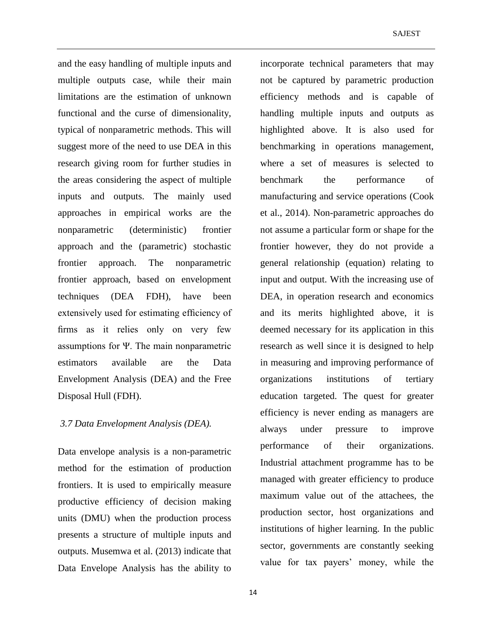and the easy handling of multiple inputs and multiple outputs case, while their main limitations are the estimation of unknown functional and the curse of dimensionality, typical of nonparametric methods. This will suggest more of the need to use DEA in this research giving room for further studies in the areas considering the aspect of multiple inputs and outputs. The mainly used approaches in empirical works are the nonparametric (deterministic) frontier approach and the (parametric) stochastic frontier approach. The nonparametric frontier approach, based on envelopment techniques (DEA FDH), have been extensively used for estimating efficiency of firms as it relies only on very few assumptions for Ψ. The main nonparametric estimators available are the Data Envelopment Analysis (DEA) and the Free Disposal Hull (FDH).

#### *3.7 Data Envelopment Analysis (DEA).*

Data envelope analysis is a non-parametric method for the estimation of production frontiers. It is used to empirically measure productive efficiency of decision making units (DMU) when the production process presents a structure of multiple inputs and outputs. Musemwa et al. (2013) indicate that Data Envelope Analysis has the ability to

incorporate technical parameters that may not be captured by parametric production efficiency methods and is capable of handling multiple inputs and outputs as highlighted above. It is also used for benchmarking in operations management, where a set of measures is selected to benchmark the performance of manufacturing and service operations (Cook et al., 2014). Non-parametric approaches do not assume a particular form or shape for the frontier however, they do not provide a general relationship (equation) relating to input and output. With the increasing use of DEA, in operation research and economics and its merits highlighted above, it is deemed necessary for its application in this research as well since it is designed to help in measuring and improving performance of organizations institutions of tertiary education targeted. The quest for greater efficiency is never ending as managers are always under pressure to improve performance of their organizations. Industrial attachment programme has to be managed with greater efficiency to produce maximum value out of the attachees, the production sector, host organizations and institutions of higher learning. In the public sector, governments are constantly seeking value for tax payers' money, while the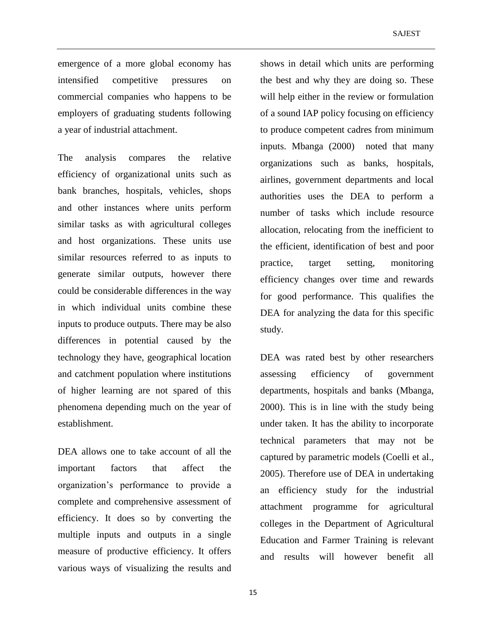emergence of a more global economy has intensified competitive pressures on commercial companies who happens to be employers of graduating students following a year of industrial attachment.

The analysis compares the relative efficiency of organizational units such as bank branches, hospitals, vehicles, shops and other instances where units perform similar tasks as with agricultural colleges and host organizations. These units use similar resources referred to as inputs to generate similar outputs, however there could be considerable differences in the way in which individual units combine these inputs to produce outputs. There may be also differences in potential caused by the technology they have, geographical location and catchment population where institutions of higher learning are not spared of this phenomena depending much on the year of establishment.

DEA allows one to take account of all the important factors that affect the organization's performance to provide a complete and comprehensive assessment of efficiency. It does so by converting the multiple inputs and outputs in a single measure of productive efficiency. It offers various ways of visualizing the results and shows in detail which units are performing the best and why they are doing so. These will help either in the review or formulation of a sound IAP policy focusing on efficiency to produce competent cadres from minimum inputs. Mbanga (2000) noted that many organizations such as banks, hospitals, airlines, government departments and local authorities uses the DEA to perform a number of tasks which include resource allocation, relocating from the inefficient to the efficient, identification of best and poor practice, target setting, monitoring efficiency changes over time and rewards for good performance. This qualifies the DEA for analyzing the data for this specific study.

DEA was rated best by other researchers assessing efficiency of government departments, hospitals and banks (Mbanga, 2000). This is in line with the study being under taken. It has the ability to incorporate technical parameters that may not be captured by parametric models (Coelli et al., 2005). Therefore use of DEA in undertaking an efficiency study for the industrial attachment programme for agricultural colleges in the Department of Agricultural Education and Farmer Training is relevant and results will however benefit all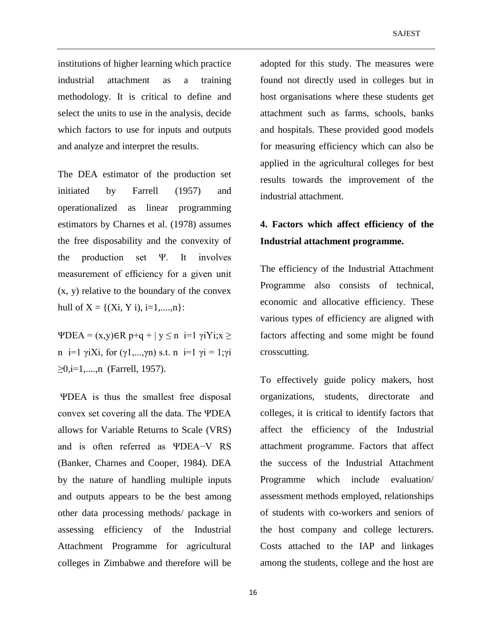institutions of higher learning which practice industrial attachment as a training methodology. It is critical to define and select the units to use in the analysis, decide which factors to use for inputs and outputs and analyze and interpret the results.

The DEA estimator of the production set initiated by Farrell (1957) and operationalized as linear programming estimators by Charnes et al. (1978) assumes the free disposability and the convexity of the production set Ψ. It involves measurement of efficiency for a given unit (x, y) relative to the boundary of the convex hull of  $X = \{(Xi, Y_i), i=1,...,n\}$ :

ΨDEA = (x,y)∈R p+q + | y ≤ n i=1 γiYi;x ≥ n i=1 γiXi, for  $(\gamma_1,...,\gamma_n)$  s.t. n i=1  $\gamma_i = 1;\gamma_i$ ≥0,i=1,....,n (Farrell, 1957).

ΨDEA is thus the smallest free disposal convex set covering all the data. The ΨDEA allows for Variable Returns to Scale (VRS) and is often referred as ΨDEA−V RS (Banker, Charnes and Cooper, 1984). DEA by the nature of handling multiple inputs and outputs appears to be the best among other data processing methods/ package in assessing efficiency of the Industrial Attachment Programme for agricultural colleges in Zimbabwe and therefore will be

adopted for this study. The measures were found not directly used in colleges but in host organisations where these students get attachment such as farms, schools, banks and hospitals. These provided good models for measuring efficiency which can also be applied in the agricultural colleges for best results towards the improvement of the industrial attachment.

# **4. Factors which affect efficiency of the Industrial attachment programme.**

The efficiency of the Industrial Attachment Programme also consists of technical, economic and allocative efficiency. These various types of efficiency are aligned with factors affecting and some might be found crosscutting.

To effectively guide policy makers, host organizations, students, directorate and colleges, it is critical to identify factors that affect the efficiency of the Industrial attachment programme. Factors that affect the success of the Industrial Attachment Programme which include evaluation/ assessment methods employed, relationships of students with co-workers and seniors of the host company and college lecturers. Costs attached to the IAP and linkages among the students, college and the host are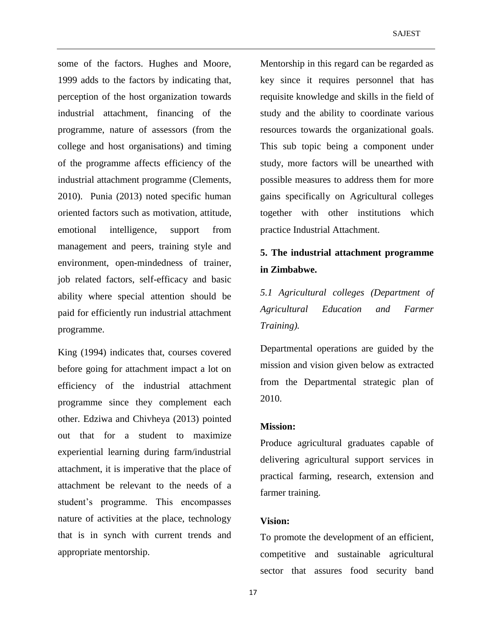SAJEST

some of the factors. Hughes and Moore, 1999 adds to the factors by indicating that, perception of the host organization towards industrial attachment, financing of the programme, nature of assessors (from the college and host organisations) and timing of the programme affects efficiency of the industrial attachment programme (Clements, 2010). Punia (2013) noted specific human oriented factors such as motivation, attitude, emotional intelligence, support from management and peers, training style and environment, open-mindedness of trainer, job related factors, self-efficacy and basic ability where special attention should be paid for efficiently run industrial attachment programme.

King (1994) indicates that, courses covered before going for attachment impact a lot on efficiency of the industrial attachment programme since they complement each other. Edziwa and Chivheya (2013) pointed out that for a student to maximize experiential learning during farm/industrial attachment, it is imperative that the place of attachment be relevant to the needs of a student's programme. This encompasses nature of activities at the place, technology that is in synch with current trends and appropriate mentorship.

Mentorship in this regard can be regarded as key since it requires personnel that has requisite knowledge and skills in the field of study and the ability to coordinate various resources towards the organizational goals. This sub topic being a component under study, more factors will be unearthed with possible measures to address them for more gains specifically on Agricultural colleges together with other institutions which practice Industrial Attachment.

# **5. The industrial attachment programme in Zimbabwe.**

*5.1 Agricultural colleges (Department of Agricultural Education and Farmer Training).*

Departmental operations are guided by the mission and vision given below as extracted from the Departmental strategic plan of 2010.

### **Mission:**

Produce agricultural graduates capable of delivering agricultural support services in practical farming, research, extension and farmer training.

# **Vision:**

To promote the development of an efficient, competitive and sustainable agricultural sector that assures food security band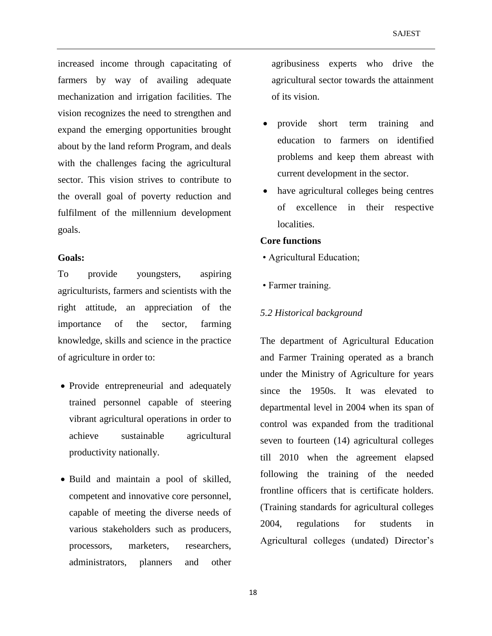increased income through capacitating of farmers by way of availing adequate mechanization and irrigation facilities. The vision recognizes the need to strengthen and expand the emerging opportunities brought about by the land reform Program, and deals with the challenges facing the agricultural sector. This vision strives to contribute to the overall goal of poverty reduction and fulfilment of the millennium development goals.

# **Goals:**

To provide youngsters, aspiring agriculturists, farmers and scientists with the right attitude, an appreciation of the importance of the sector, farming knowledge, skills and science in the practice of agriculture in order to:

- Provide entrepreneurial and adequately trained personnel capable of steering vibrant agricultural operations in order to achieve sustainable agricultural productivity nationally.
- Build and maintain a pool of skilled, competent and innovative core personnel, capable of meeting the diverse needs of various stakeholders such as producers, processors, marketers, researchers, administrators, planners and other

agribusiness experts who drive the agricultural sector towards the attainment of its vision.

- provide short term training and education to farmers on identified problems and keep them abreast with current development in the sector.
- have agricultural colleges being centres of excellence in their respective localities.

# **Core functions**

- Agricultural Education;
- Farmer training.

# *5.2 Historical background*

The department of Agricultural Education and Farmer Training operated as a branch under the Ministry of Agriculture for years since the 1950s. It was elevated to departmental level in 2004 when its span of control was expanded from the traditional seven to fourteen (14) agricultural colleges till 2010 when the agreement elapsed following the training of the needed frontline officers that is certificate holders. (Training standards for agricultural colleges 2004, regulations for students in Agricultural colleges (undated) Director's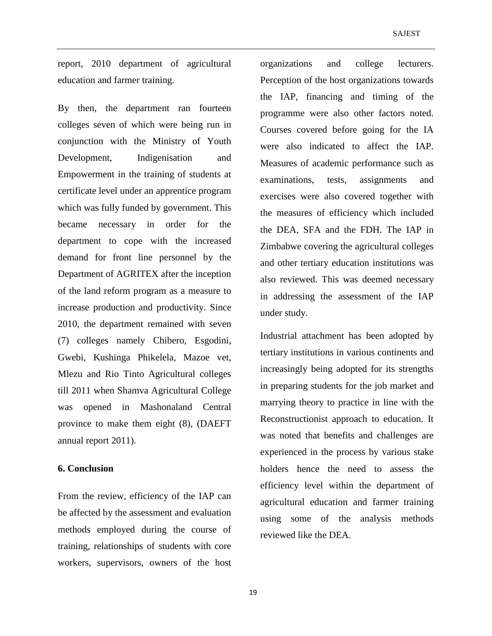report, 2010 department of agricultural education and farmer training.

By then, the department ran fourteen colleges seven of which were being run in conjunction with the Ministry of Youth Development, Indigenisation and Empowerment in the training of students at certificate level under an apprentice program which was fully funded by government. This became necessary in order for the department to cope with the increased demand for front line personnel by the Department of AGRITEX after the inception of the land reform program as a measure to increase production and productivity. Since 2010, the department remained with seven (7) colleges namely Chibero, Esgodini, Gwebi, Kushinga Phikelela, Mazoe vet, Mlezu and Rio Tinto Agricultural colleges till 2011 when Shamva Agricultural College was opened in Mashonaland Central province to make them eight (8), (DAEFT annual report 2011).

# **6. Conclusion**

From the review, efficiency of the IAP can be affected by the assessment and evaluation methods employed during the course of training, relationships of students with core workers, supervisors, owners of the host

organizations and college lecturers. Perception of the host organizations towards the IAP, financing and timing of the programme were also other factors noted. Courses covered before going for the IA were also indicated to affect the IAP. Measures of academic performance such as examinations, tests, assignments and exercises were also covered together with the measures of efficiency which included the DEA, SFA and the FDH. The IAP in Zimbabwe covering the agricultural colleges and other tertiary education institutions was also reviewed. This was deemed necessary in addressing the assessment of the IAP under study.

Industrial attachment has been adopted by tertiary institutions in various continents and increasingly being adopted for its strengths in preparing students for the job market and marrying theory to practice in line with the Reconstructionist approach to education. It was noted that benefits and challenges are experienced in the process by various stake holders hence the need to assess the efficiency level within the department of agricultural education and farmer training using some of the analysis methods reviewed like the DEA.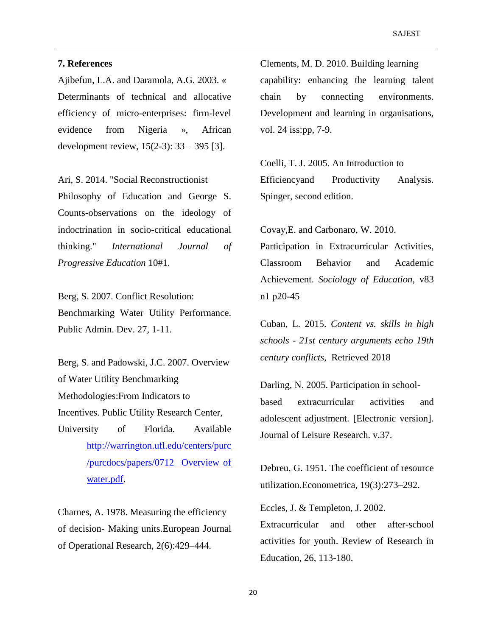### **7. References**

Ajibefun, L.A. and Daramola, A.G. 2003. « Determinants of technical and allocative efficiency of micro-enterprises: firm-level evidence from Nigeria », African development review, 15(2-3): 33 – 395 [3].

Ari, S. 2014. "Social Reconstructionist Philosophy of Education and George S. Counts-observations on the ideology of indoctrination in socio-critical educational thinking." *International Journal of Progressive Education* 10#1.

Berg, S. 2007. Conflict Resolution: Benchmarking Water Utility Performance. Public Admin. Dev. 27, 1-11.

Berg, S. and Padowski, J.C. 2007. Overview of Water Utility Benchmarking Methodologies:From Indicators to Incentives. Public Utility Research Center, University of Florida. Available [http://warrington.ufl.edu/centers/purc](http://warrington.ufl.edu/centers/purc/purcdocs/papers/0712%20%20Overview%20of%20water.pdf) [/purcdocs/papers/0712 Overview of](http://warrington.ufl.edu/centers/purc/purcdocs/papers/0712%20%20Overview%20of%20water.pdf)  [water.pdf.](http://warrington.ufl.edu/centers/purc/purcdocs/papers/0712%20%20Overview%20of%20water.pdf)

Charnes, A. 1978. Measuring the efficiency of decision- Making units.European Journal of Operational Research, 2(6):429–444.

Clements, M. D. 2010. Building learning capability: enhancing the learning talent chain by connecting environments. Development and learning in organisations, vol. 24 iss:pp, 7-9.

Coelli, T. J. 2005. An Introduction to Efficiencyand Productivity Analysis. Spinger, second edition.

Covay,E. and Carbonaro, W. 2010. Participation in Extracurricular Activities, Classroom Behavior and Academic Achievement. *Sociology of Education*, v83 n1 p20-45

Cuban, L. 2015. *[Content vs. skills in high](https://larrycuban.wordpress.com/2015/11/03/content-vs-skills-in-high-schools-21st-century-arguments-echo-19th-century-conflicts/)  schools - 21st [century arguments echo 19th](https://larrycuban.wordpress.com/2015/11/03/content-vs-skills-in-high-schools-21st-century-arguments-echo-19th-century-conflicts/)  [century conflicts,](https://larrycuban.wordpress.com/2015/11/03/content-vs-skills-in-high-schools-21st-century-arguments-echo-19th-century-conflicts/)* Retrieved 2018

Darling, N. 2005. Participation in schoolbased extracurricular activities and adolescent adjustment. [Electronic version]. Journal of Leisure Research. v.37.

Debreu, G. 1951. The coefficient of resource utilization.Econometrica, 19(3):273–292.

Eccles, J. & Templeton, J. 2002. Extracurricular and other after-school activities for youth. Review of Research in Education, 26, 113-180.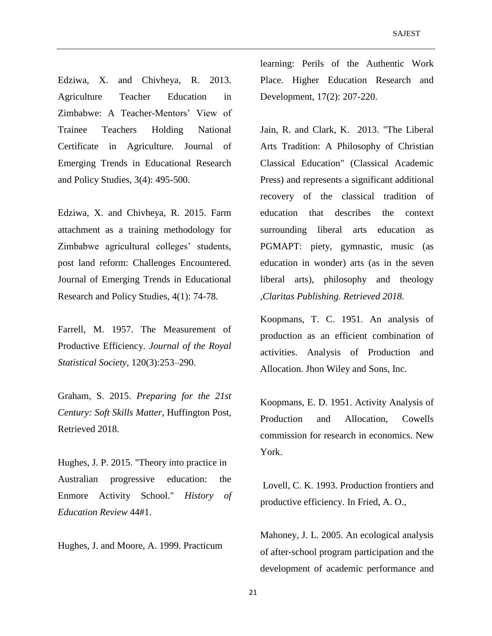Edziwa, X. and Chivheya, R. 2013. Agriculture Teacher Education in Zimbabwe: A Teacher-Mentors' View of Trainee Teachers Holding National Certificate in Agriculture. Journal of Emerging Trends in Educational Research and Policy Studies, 3(4): 495-500.

Edziwa, X. and Chivheya, R. 2015. Farm attachment as a training methodology for Zimbabwe agricultural colleges' students, post land reform: Challenges Encountered. Journal of Emerging Trends in Educational Research and Policy Studies, 4(1): 74-78.

Farrell, M. 1957. The Measurement of Productive Efficiency. *Journal of the Royal Statistical Society*, 120(3):253–290.

Graham, S. 2015. *Preparing for the 21st Century: Soft Skills Matter*, Huffington Post, Retrieved 2018.

Hughes, J. P. 2015. "Theory into practice in Australian progressive education: the Enmore Activity School." *History of Education Review* 44#1.

Hughes, J. and Moore, A. 1999. Practicum

learning: Perils of the Authentic Work Place. Higher Education Research and Development, 17(2): 207-220.

Jain, R. and Clark, K. 2013. ["The Liberal](http://classicalacademicpress.com/the-liberal-arts-tradition-a-philosophy-of-christian-classical-education/#.VPXUoXZb5uo)  [Arts Tradition: A Philosophy of Christian](http://classicalacademicpress.com/the-liberal-arts-tradition-a-philosophy-of-christian-classical-education/#.VPXUoXZb5uo)  [Classical Education"](http://classicalacademicpress.com/the-liberal-arts-tradition-a-philosophy-of-christian-classical-education/#.VPXUoXZb5uo) (Classical Academic Press) and represents a significant additional recovery of the classical tradition of education that describes the context surrounding liberal arts education as PGMAPT: piety, gymnastic, music (as education in wonder) arts (as in the seven liberal arts), philosophy and theology ,*Claritas Publishing. Retrieved 2018.*

Koopmans, T. C. 1951. An analysis of production as an efficient combination of activities. Analysis of Production and Allocation. Jhon Wiley and Sons, Inc.

Koopmans, E. D. 1951. Activity Analysis of Production and Allocation, Cowells commission for research in economics. New York.

Lovell, C. K. 1993. Production frontiers and productive efficiency. In Fried, A. O.,

Mahoney, J. L. 2005. An ecological analysis of after-school program participation and the development of academic performance and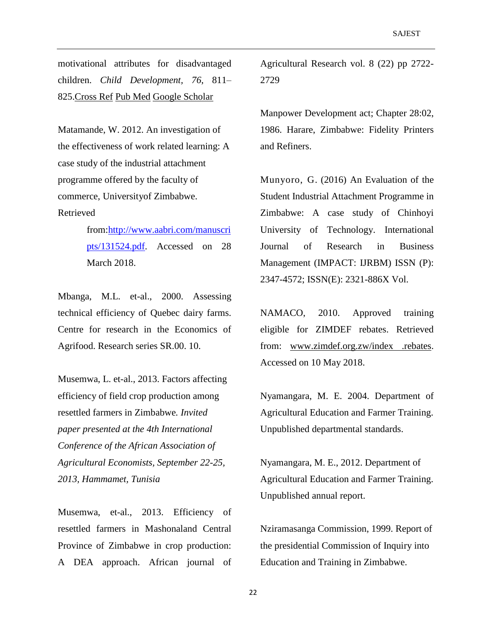motivational attributes for disadvantaged children. *Child Development, 76*, 811– 825[.Cross Ref](https://doi.org/10.1111/j.1467-8624.2005.00879.x) [Pub Med](http://www.ncbi.nlm.nih.gov/entrez/query.fcgi?cmd=Retrieve&db=PubMed&dopt=Abstract&list_uids=16026498) [Google Scholar](http://scholar.google.com/scholar_lookup?title=An%20ecological%20analysis%20of%20after-school%20program%20participation%20and%20the%20development%20of%20academic%20performance%20and%20motivational%20attributes%20for%20disadvantaged%20children&author=JL.%20Mahoney&author=H.%20Lord&author=E.%20Carryl&journal=Child%20Development&volume=76&pages=811-825&publication_year=2005)

Matamande, W. 2012. An investigation of the effectiveness of work related learning: A case study of the industrial attachment programme offered by the faculty of commerce, Universityof Zimbabwe. Retrieved

> from[:http://www.aabri.com/manuscri](http://www.aabri.com/manuscripts/131524.pdf) [pts/131524.pdf.](http://www.aabri.com/manuscripts/131524.pdf) Accessed on 28 March 2018.

Mbanga, M.L. et-al., 2000. Assessing technical efficiency of Quebec dairy farms. Centre for research in the Economics of Agrifood. Research series SR.00. 10.

Musemwa, L. et-al., 2013. Factors affecting efficiency of field crop production among resettled farmers in Zimbabwe*. Invited paper presented at the 4th International Conference of the African Association of Agricultural Economists, September 22-25, 2013, Hammamet, Tunisia*

Musemwa, et-al., 2013. Efficiency of resettled farmers in Mashonaland Central Province of Zimbabwe in crop production: A DEA approach. African journal of Agricultural Research vol. 8 (22) pp 2722- 2729

Manpower Development act; Chapter 28:02, 1986. Harare, Zimbabwe: Fidelity Printers and Refiners.

Munyoro, G. (2016) An Evaluation of the Student Industrial Attachment Programme in Zimbabwe: A case study of Chinhoyi University of Technology. International Journal of Research in Business Management (IMPACT: IJRBM) ISSN (P): 2347-4572; ISSN(E): 2321-886X Vol.

NAMACO, 2010. Approved training eligible for ZIMDEF rebates. Retrieved from: [www.zimdef.org.zw/index .rebates.](http://www.zimdef.org.zw/index%20.rebates) Accessed on 10 May 2018.

Nyamangara, M. E. 2004. Department of Agricultural Education and Farmer Training. Unpublished departmental standards.

Nyamangara, M. E., 2012. Department of Agricultural Education and Farmer Training. Unpublished annual report.

Nziramasanga Commission, 1999. Report of the presidential Commission of Inquiry into Education and Training in Zimbabwe.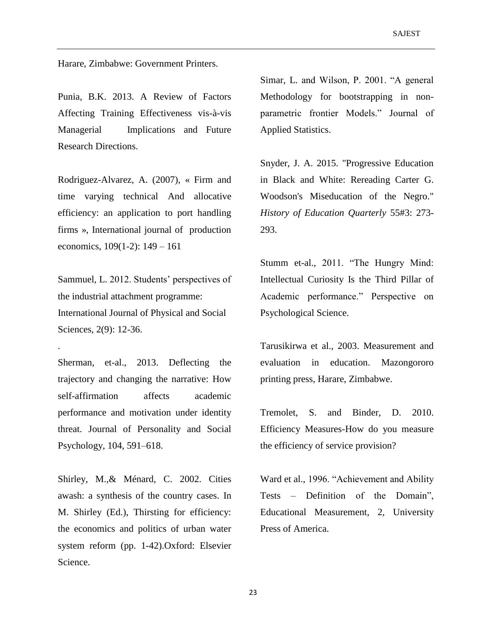Harare, Zimbabwe: Government Printers.

Punia, B.K. 2013. A Review of Factors Affecting Training Effectiveness vis-à-vis Managerial Implications and Future Research Directions.

Rodriguez-Alvarez, A. (2007), « Firm and time varying technical And allocative efficiency: an application to port handling firms », International journal of production economics, 109(1-2): 149 – 161

Sammuel, L. 2012. Students' perspectives of the industrial attachment programme: International Journal of Physical and Social Sciences, 2(9): 12-36.

.

Sherman, et-al., 2013. Deflecting the trajectory and changing the narrative: How self-affirmation affects academic performance and motivation under identity threat. Journal of Personality and Social Psychology, 104, 591–618.

Shirley, M.,& Ménard, C. 2002. Cities awash: a synthesis of the country cases. In M. Shirley (Ed.), Thirsting for efficiency: the economics and politics of urban water system reform (pp. 1-42).Oxford: Elsevier Science.

Simar, L. and Wilson, P. 2001. "A general Methodology for bootstrapping in nonparametric frontier Models." Journal of Applied Statistics.

Snyder, J. A. 2015. "Progressive Education in Black and White: Rereading Carter G. Woodson's Miseducation of the Negro." *History of Education Quarterly* 55#3: 273- 293.

Stumm et-al., 2011. "The Hungry Mind: Intellectual Curiosity Is the Third Pillar of Academic performance." Perspective on Psychological Science.

Tarusikirwa et al., 2003. Measurement and evaluation in education. Mazongororo printing press, Harare, Zimbabwe.

Tremolet, S. and Binder, D. 2010. Efficiency Measures-How do you measure the efficiency of service provision?

Ward et al., 1996. "Achievement and Ability Tests – Definition of the Domain", Educational Measurement, 2, University Press of America.